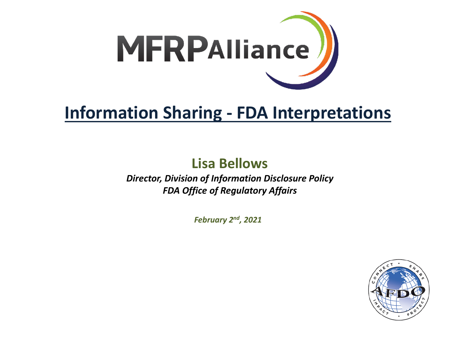

### **Information Sharing - FDA Interpretations**

# **Lisa Bellows**

*Director, Division of Information Disclosure Policy FDA Office of Regulatory Affairs*

*February 2nd, 2021*

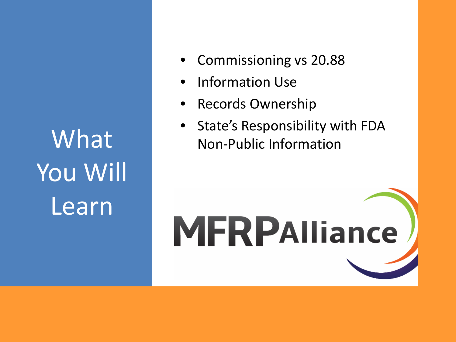What You Will Learn

- Commissioning vs 20.88
- Information Use
- Records Ownership
- State's Responsibility with FDA Non-Public Information

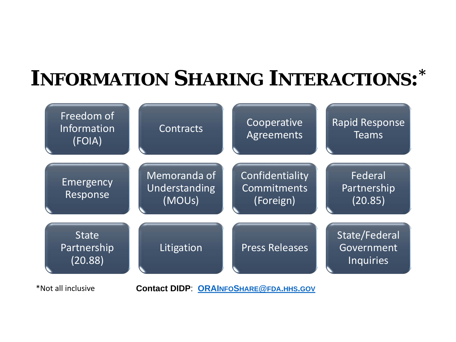# **INFORMATION SHARING INTERACTIONS: \***

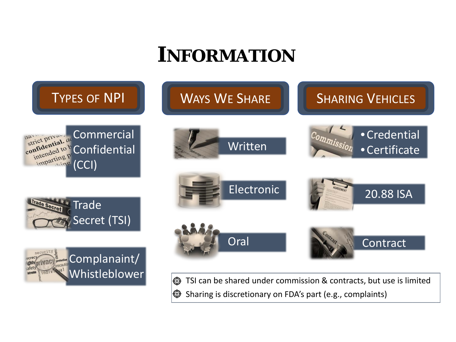# **INFORMATION**

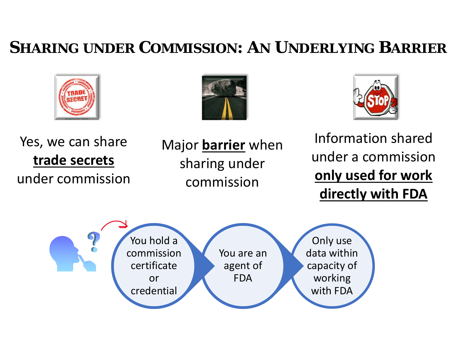#### **SHARING UNDER COMMISSION: AN UNDERLYING BARRIER**







Yes, we can share **trade secrets** under commission Major **barrier** when sharing under commission

Information shared under a commission **only used for work directly with FDA**

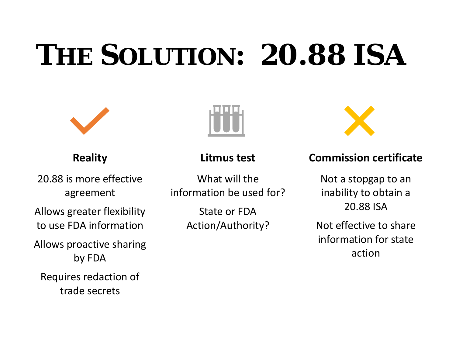# **THE SOLUTION: 20.88 ISA**

#### **Reality**

20.88 is more effective agreement

Allows greater flexibility to use FDA information

Allows proactive sharing by FDA

Requires redaction of trade secrets



**Litmus test**

What will the information be used for?

> State or FDA Action/Authority?



#### **Commission certificate**

Not a stopgap to an inability to obtain a 20.88 ISA

Not effective to share information for state action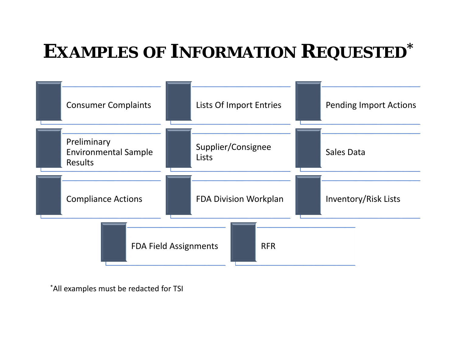## **EXAMPLES OF INFORMATION REQUESTED\***



\*All examples must be redacted for TSI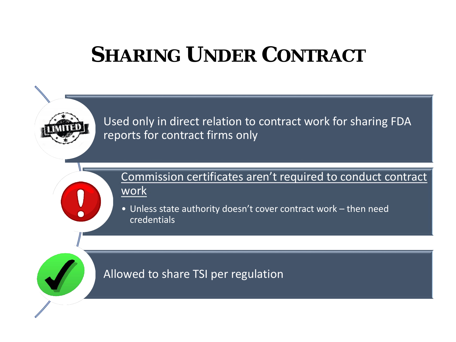# **SHARING UNDER CONTRACT**

Used only in direct relation to contract work for sharing FDA reports for contract firms only

Commission certificates aren't required to conduct contract work

• Unless state authority doesn't cover contract work – then need credentials

Allowed to share TSI per regulation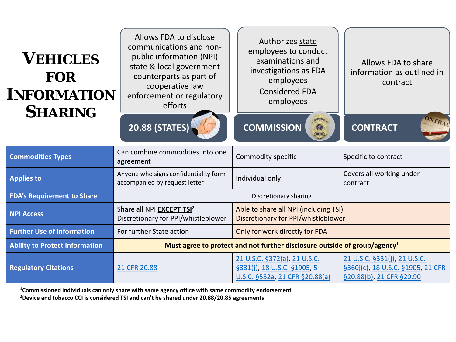| <b>VEHICLES</b><br><b>FOR</b><br><b>INFORMATION</b><br><b>SHARING</b> | Allows FDA to disclose<br>communications and non-<br>public information (NPI)<br>state & local government<br>counterparts as part of<br>cooperative law<br>enforcement or regulatory<br>efforts<br>20.88 (STATES) | Authorizes state<br>employees to conduct<br>examinations and<br>investigations as FDA<br>employees<br><b>Considered FDA</b><br>employees<br><b>COMMISSION</b><br>Ø<br><b>Contract</b> | Allows FDA to share<br>information as outlined in<br>contract<br>ONTRA<br><b>CONTRACT</b>     |  |  |
|-----------------------------------------------------------------------|-------------------------------------------------------------------------------------------------------------------------------------------------------------------------------------------------------------------|---------------------------------------------------------------------------------------------------------------------------------------------------------------------------------------|-----------------------------------------------------------------------------------------------|--|--|
| <b>Commodities Types</b>                                              | Can combine commodities into one<br>agreement                                                                                                                                                                     | Commodity specific                                                                                                                                                                    | Specific to contract                                                                          |  |  |
| <b>Applies to</b>                                                     | Anyone who signs confidentiality form<br>accompanied by request letter                                                                                                                                            | Individual only                                                                                                                                                                       | Covers all working under<br>contract                                                          |  |  |
| <b>FDA's Requirement to Share</b>                                     | Discretionary sharing                                                                                                                                                                                             |                                                                                                                                                                                       |                                                                                               |  |  |
| <b>NPI Access</b>                                                     | Share all NPI EXCEPT TSI <sup>2</sup><br>Discretionary for PPI/whistleblower                                                                                                                                      | Able to share all NPI (including TSI)<br>Discretionary for PPI/whistleblower                                                                                                          |                                                                                               |  |  |
| <b>Further Use of Information</b>                                     | For further State action                                                                                                                                                                                          | Only for work directly for FDA                                                                                                                                                        |                                                                                               |  |  |
| <b>Ability to Protect Information</b>                                 | Must agree to protect and not further disclosure outside of group/agency <sup>1</sup>                                                                                                                             |                                                                                                                                                                                       |                                                                                               |  |  |
| <b>Regulatory Citations</b>                                           | 21 CFR 20.88                                                                                                                                                                                                      | 21 U.S.C. §372(a), 21 U.S.C.<br>§331(j), 18 U.S.C. §1905, 5<br>U.S.C. §552a, 21 CFR §20.88(a)                                                                                         | 21 U.S.C. §331(j), 21 U.S.C.<br>§360j(c), 18 U.S.C. §1905, 21 CFR<br>§20.88(b), 21 CFR §20.90 |  |  |

**1Commissioned individuals can only share with same agency office with same commodity endorsement**

**2Device and tobacco CCI is considered TSI and can't be shared under 20.88/20.85 agreements**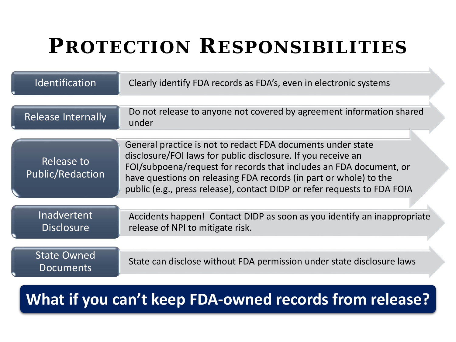# **PROTECTION RESPONSIBILITIES**

| Identification                          | Clearly identify FDA records as FDA's, even in electronic systems                                                                                                                                                                                                                                                                                  |
|-----------------------------------------|----------------------------------------------------------------------------------------------------------------------------------------------------------------------------------------------------------------------------------------------------------------------------------------------------------------------------------------------------|
| <b>Release Internally</b>               | Do not release to anyone not covered by agreement information shared<br>under                                                                                                                                                                                                                                                                      |
| Release to<br><b>Public/Redaction</b>   | General practice is not to redact FDA documents under state<br>disclosure/FOI laws for public disclosure. If you receive an<br>FOI/subpoena/request for records that includes an FDA document, or<br>have questions on releasing FDA records (in part or whole) to the<br>public (e.g., press release), contact DIDP or refer requests to FDA FOIA |
| <b>Inadvertent</b><br><b>Disclosure</b> | Accidents happen! Contact DIDP as soon as you identify an inappropriate<br>release of NPI to mitigate risk.                                                                                                                                                                                                                                        |
| <b>State Owned</b><br><b>Documents</b>  | State can disclose without FDA permission under state disclosure laws                                                                                                                                                                                                                                                                              |

#### **What if you can't keep FDA-owned records from release?**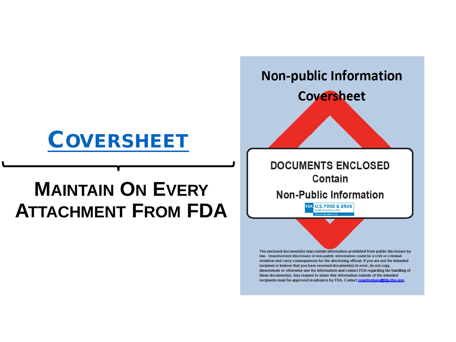## [COVERSHEET](http://inside.fda.gov:9003/downloads/ORA/InformationDisclosure/UCM637822.pdf)

## **MAINTAIN ON EVERY ATTACHMENT FROM FDA**



violation and carry consequences for the disclosing official. If you are not the intended recipient or believe that you have received document(s) in error, do not copy, disseminate or otherwise use the information and contact FDA regarding the handling of these document(s). Any request to share this information outside of the intended recipients must be approved in advance by FDA. Contact orainfoshare@fda.hhs.gov.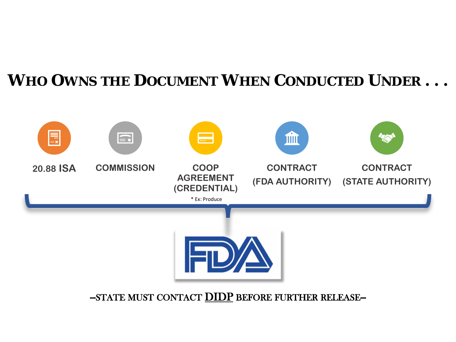#### **WHO OWNS THE DOCUMENT WHEN CONDUCTED UNDER . . .**



-STATE MUST CONTACT **DIDP** BEFORE FURTHER RELEASE--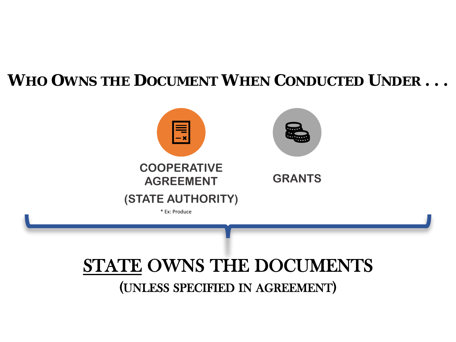#### **WHO OWNS THE DOCUMENT WHEN CONDUCTED UNDER . . .**



# STATE OWNS THE DOCUMENTS

(UNLESS SPECIFIED IN AGREEMENT)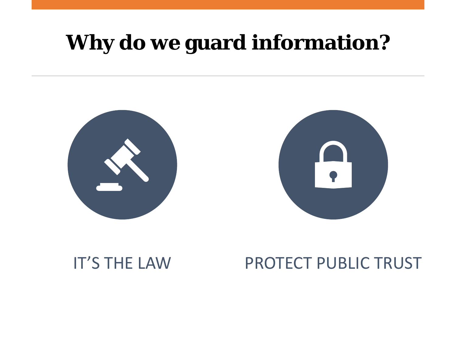# **Why do we guard information?**





#### IT'S THE LAW PROTECT PUBLIC TRUST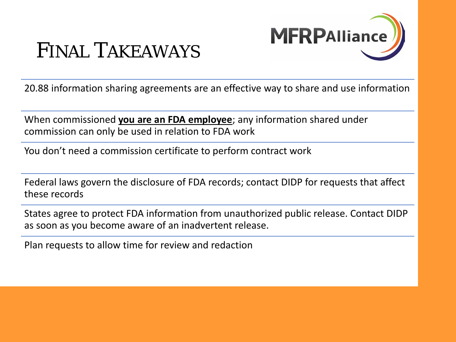

### FINAL TAKEAWAYS

20.88 information sharing agreements are an effective way to share and use information

When commissioned **you are an FDA employee**; any information shared under commission can only be used in relation to FDA work

You don't need a commission certificate to perform contract work<br>

Federal laws govern the disclosure of FDA records; contact DIDP for requests that affect these records

States agree to protect FDA information from unauthorized public release. Contact DIDP as soon as you become aware of an inadvertent release.

Plan requests to allow time for review and redaction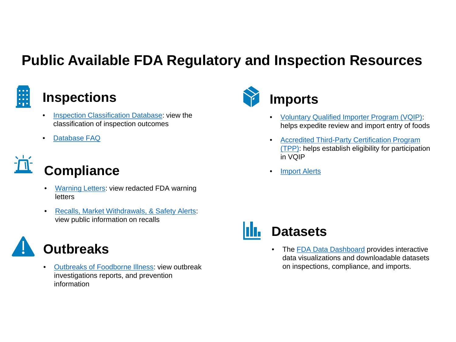#### **Public Available FDA Regulatory and Inspection Resources**



#### **Inspections**

- [Inspection Classification Database](https://www.accessdata.fda.gov/scripts/inspsearch/#_blank): view the classification of inspection outcomes
- [Database FAQ](https://www.fda.gov/inspections-compliance-enforcement-and-criminal-investigations/inspection-references/inspections-database-frequently-asked-questions#classification)

# **Compliance**

- [Warning Letters](https://www.fda.gov/inspections-compliance-enforcement-and-criminal-investigations/compliance-actions-and-activities/warning-letters#_blank): view redacted FDA warning letters
- [Recalls, Market Withdrawals, & Safety Alerts:](https://www.fda.gov/safety/recalls-market-withdrawals-safety-alerts#_blank) view public information on recalls



• [Outbreaks of Foodborne Illness](https://www.fda.gov/food/recalls-outbreaks-emergencies/outbreaks-foodborne-illness#_blank): view outbreak investigations reports, and prevention information



#### **Imports**

- [Voluntary Qualified Importer Program \(VQIP\):](https://www.fda.gov/food/importing-food-products-united-states/voluntary-qualified-importer-program-vqip) helps expedite review and import entry of foods
- Accredited Third-Party Certification Program [\(TPP\): helps establish eligibility for participat](https://www.fda.gov/food/importing-food-products-united-states/accredited-third-party-certification-program)ion in VQIP
- [Import Alerts](https://www.accessdata.fda.gov/cms_ia/default.html#_blank)



• The [FDA Data Dashboard](https://datadashboard.fda.gov/ora/index.htm#_blank) provides interactive data visualizations and downloadable datasets on inspections, compliance, and imports.